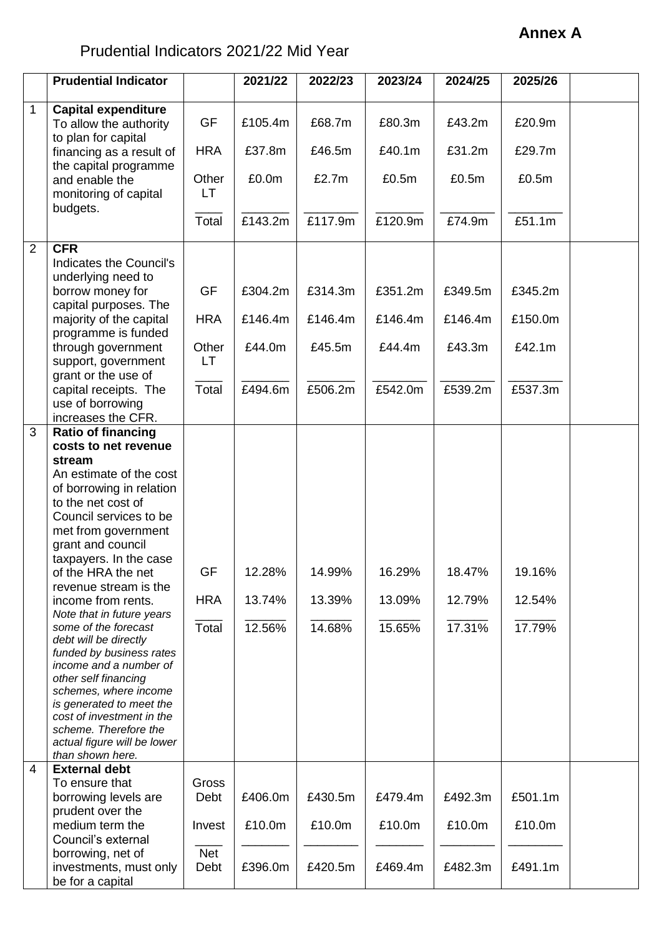## **Annex A**

## Prudential Indicators 2021/22 Mid Year

|                | <b>Prudential Indicator</b>                                                                                                                                                                                                                                                                                                                                                                                                                                                                                                                                                                                                             |                           | 2021/22                    | 2022/23                    | 2023/24                    | 2024/25                    | 2025/26                    |  |
|----------------|-----------------------------------------------------------------------------------------------------------------------------------------------------------------------------------------------------------------------------------------------------------------------------------------------------------------------------------------------------------------------------------------------------------------------------------------------------------------------------------------------------------------------------------------------------------------------------------------------------------------------------------------|---------------------------|----------------------------|----------------------------|----------------------------|----------------------------|----------------------------|--|
| $\mathbf 1$    | <b>Capital expenditure</b><br>To allow the authority                                                                                                                                                                                                                                                                                                                                                                                                                                                                                                                                                                                    | <b>GF</b>                 | £105.4m                    | £68.7m                     | £80.3m                     | £43.2m                     | £20.9m                     |  |
|                | to plan for capital<br>financing as a result of                                                                                                                                                                                                                                                                                                                                                                                                                                                                                                                                                                                         | <b>HRA</b>                | £37.8m                     | £46.5m                     | £40.1m                     | £31.2m                     | £29.7m                     |  |
|                | the capital programme<br>and enable the<br>monitoring of capital                                                                                                                                                                                                                                                                                                                                                                                                                                                                                                                                                                        | Other<br>LT.              | £0.0m                      | £2.7m                      | £0.5m                      | £0.5m                      | £0.5m                      |  |
|                | budgets.                                                                                                                                                                                                                                                                                                                                                                                                                                                                                                                                                                                                                                | Total                     | £143.2m                    | £117.9m                    | £120.9m                    | £74.9m                     | £51.1m                     |  |
| $\overline{2}$ | <b>CFR</b><br>Indicates the Council's                                                                                                                                                                                                                                                                                                                                                                                                                                                                                                                                                                                                   |                           |                            |                            |                            |                            |                            |  |
|                | underlying need to<br>borrow money for<br>capital purposes. The                                                                                                                                                                                                                                                                                                                                                                                                                                                                                                                                                                         | <b>GF</b>                 | £304.2m                    | £314.3m                    | £351.2m                    | £349.5m                    | £345.2m                    |  |
|                | majority of the capital<br>programme is funded                                                                                                                                                                                                                                                                                                                                                                                                                                                                                                                                                                                          | <b>HRA</b>                | £146.4m                    | £146.4m                    | £146.4m                    | £146.4m                    | £150.0m                    |  |
|                | through government<br>support, government                                                                                                                                                                                                                                                                                                                                                                                                                                                                                                                                                                                               | Other<br>LT               | £44.0m                     | £45.5m                     | £44.4m                     | £43.3m                     | £42.1m                     |  |
|                | grant or the use of<br>capital receipts. The<br>use of borrowing<br>increases the CFR.                                                                                                                                                                                                                                                                                                                                                                                                                                                                                                                                                  | Total                     | £494.6m                    | £506.2m                    | £542.0m                    | £539.2m                    | £537.3m                    |  |
| 3              | <b>Ratio of financing</b><br>costs to net revenue<br>stream<br>An estimate of the cost<br>of borrowing in relation<br>to the net cost of<br>Council services to be<br>met from government<br>grant and council<br>taxpayers. In the case<br>of the HRA the net<br>revenue stream is the<br>income from rents.<br>Note that in future years<br>some of the forecast<br>debt will be directly<br>funded by business rates<br>income and a number of<br>other self financing<br>schemes, where income<br>is generated to meet the<br>cost of investment in the<br>scheme. Therefore the<br>actual figure will be lower<br>than shown here. | GF<br><b>HRA</b><br>Total | 12.28%<br>13.74%<br>12.56% | 14.99%<br>13.39%<br>14.68% | 16.29%<br>13.09%<br>15.65% | 18.47%<br>12.79%<br>17.31% | 19.16%<br>12.54%<br>17.79% |  |
| 4              | <b>External debt</b><br>To ensure that<br>borrowing levels are                                                                                                                                                                                                                                                                                                                                                                                                                                                                                                                                                                          | Gross<br>Debt             | £406.0m                    | £430.5m                    | £479.4m                    | £492.3m                    | £501.1m                    |  |
|                | prudent over the<br>medium term the<br>Council's external                                                                                                                                                                                                                                                                                                                                                                                                                                                                                                                                                                               | Invest                    | £10.0m                     | £10.0m                     | £10.0m                     | £10.0m                     | £10.0m                     |  |
|                | borrowing, net of<br>investments, must only<br>be for a capital                                                                                                                                                                                                                                                                                                                                                                                                                                                                                                                                                                         | <b>Net</b><br>Debt        | £396.0m                    | £420.5m                    | £469.4m                    | £482.3m                    | £491.1m                    |  |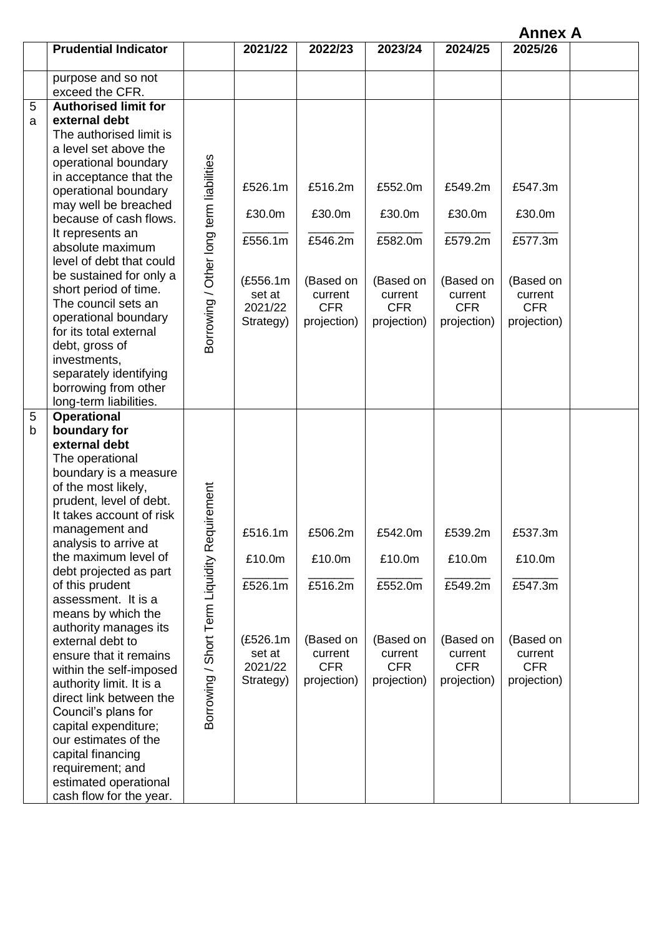**Annex A**

|        | <b>Prudential Indicator</b>                                                                                                                                                                                                                                                                                                                                                                                                                                                                                                                                                                                                                                             |                                                  | 2021/22                                                                    | 2022/23                                                                           | 2023/24                                                                           | 2024/25                                                                           | 2025/26                                                                           |  |
|--------|-------------------------------------------------------------------------------------------------------------------------------------------------------------------------------------------------------------------------------------------------------------------------------------------------------------------------------------------------------------------------------------------------------------------------------------------------------------------------------------------------------------------------------------------------------------------------------------------------------------------------------------------------------------------------|--------------------------------------------------|----------------------------------------------------------------------------|-----------------------------------------------------------------------------------|-----------------------------------------------------------------------------------|-----------------------------------------------------------------------------------|-----------------------------------------------------------------------------------|--|
|        | purpose and so not<br>exceed the CFR.                                                                                                                                                                                                                                                                                                                                                                                                                                                                                                                                                                                                                                   |                                                  |                                                                            |                                                                                   |                                                                                   |                                                                                   |                                                                                   |  |
| 5<br>a | <b>Authorised limit for</b><br>external debt<br>The authorised limit is<br>a level set above the<br>operational boundary<br>in acceptance that the<br>operational boundary<br>may well be breached<br>because of cash flows.<br>It represents an<br>absolute maximum<br>level of debt that could<br>be sustained for only a<br>short period of time.<br>The council sets an<br>operational boundary<br>for its total external<br>debt, gross of<br>investments,<br>separately identifying<br>borrowing from other<br>long-term liabilities.                                                                                                                             | Borrowing / Other long term liabilities          | £526.1m<br>£30.0m<br>£556.1m<br>(£556.1m<br>set at<br>2021/22<br>Strategy) | £516.2m<br>£30.0m<br>£546.2m<br>(Based on<br>current<br><b>CFR</b><br>projection) | £552.0m<br>£30.0m<br>£582.0m<br>(Based on<br>current<br><b>CFR</b><br>projection) | £549.2m<br>£30.0m<br>£579.2m<br>(Based on<br>current<br><b>CFR</b><br>projection) | £547.3m<br>£30.0m<br>£577.3m<br>(Based on<br>current<br><b>CFR</b><br>projection) |  |
| 5<br>b | <b>Operational</b><br>boundary for<br>external debt<br>The operational<br>boundary is a measure<br>of the most likely,<br>prudent, level of debt.<br>It takes account of risk<br>management and<br>analysis to arrive at<br>the maximum level of<br>debt projected as part<br>of this prudent<br>assessment. It is a<br>means by which the<br>authority manages its<br>external debt to<br>ensure that it remains<br>within the self-imposed<br>authority limit. It is a<br>direct link between the<br>Council's plans for<br>capital expenditure;<br>our estimates of the<br>capital financing<br>requirement; and<br>estimated operational<br>cash flow for the year. | equirement<br>Borrowing / Short Term Liquidity R | £516.1m<br>£10.0m<br>£526.1m<br>(£526.1m<br>set at<br>2021/22<br>Strategy) | £506.2m<br>£10.0m<br>£516.2m<br>(Based on<br>current<br><b>CFR</b><br>projection) | £542.0m<br>£10.0m<br>£552.0m<br>(Based on<br>current<br><b>CFR</b><br>projection) | £539.2m<br>£10.0m<br>£549.2m<br>(Based on<br>current<br><b>CFR</b><br>projection) | £537.3m<br>£10.0m<br>£547.3m<br>(Based on<br>current<br><b>CFR</b><br>projection) |  |